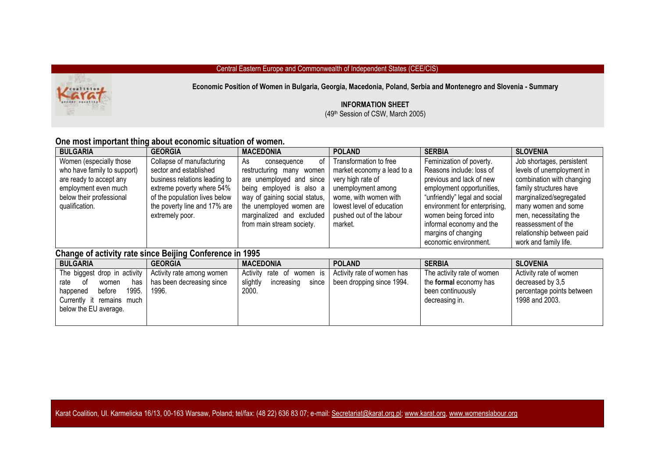#### Central Eastern Europe and Commonwealth of Independent States (CEE/CIS)



**Economic Position of Women in Bulgaria, Georgia, Macedonia, Poland, Serbia and Montenegro and Slovenia - Summary**

### **INFORMATION SHEET**

(49th Session of CSW, March 2005)

## **One most important thing about economic situation of women.**

| <b>BULGARIA</b>             | <b>GEORGIA</b>                | <b>MACEDONIA</b>              | <b>POLAND</b>              | <b>SERBIA</b>                 | <b>SLOVENIA</b>           |
|-----------------------------|-------------------------------|-------------------------------|----------------------------|-------------------------------|---------------------------|
| Women (especially those     | Collapse of manufacturing     | As<br>of<br>consequence       | Transformation to free     | Feminization of poverty.      | Job shortages, persistent |
| who have family to support) | sector and established        | restructuring many women      | market economy a lead to a | Reasons include: loss of      | levels of unemployment in |
| are ready to accept any     | business relations leading to | are unemployed and since      | very high rate of          | previous and lack of new      | combination with changing |
| employment even much        | extreme poverty where 54%     | being employed is also a      | unemployment among         | employment opportunities,     | family structures have    |
| below their professional    | of the population lives below | way of gaining social status, | wome, with women with      | "unfriendly" legal and social | marginalized/segregated   |
| qualification.              | the poverty line and 17% are  | the unemployed women are      | lowest level of education  | environment for enterprising, | many women and some       |
|                             | extremely poor.               | marginalized and excluded     | pushed out of the labour   | women being forced into       | men, necessitating the    |
|                             |                               | from main stream society.     | market.                    | informal economy and the      | reassessment of the       |
|                             |                               |                               |                            | margins of changing           | relationship between paid |
|                             |                               |                               |                            | economic environment.         | work and family life.     |

# **Change of activity rate since Beijing Conference in 1995**

| <b>BULGARIA</b>                                                                                                                                 | <b>GEORGIA</b>                                                  | <b>MACEDONIA</b>                                             | <b>POLAND</b>                                                   | <b>SERBIA</b>                                                                                      | <b>SLOVENIA</b>                                                                           |
|-------------------------------------------------------------------------------------------------------------------------------------------------|-----------------------------------------------------------------|--------------------------------------------------------------|-----------------------------------------------------------------|----------------------------------------------------------------------------------------------------|-------------------------------------------------------------------------------------------|
| The biggest drop in activity<br>has<br>of<br>women<br>rate<br>1995.<br>before<br>happened<br>Currently it remains much<br>below the EU average. | Activity rate among women<br>has been decreasing since<br>1996. | Activity rate of women is<br>slightly<br>increasing<br>2000. | Activity rate of women has<br>since   been dropping since 1994. | The activity rate of women<br>the <b>formal</b> economy has<br>been continuously<br>decreasing in. | Activity rate of women<br>decreased by 3,5<br>percentage points between<br>1998 and 2003. |

Karat Coalition, Ul. Karmelicka 16/13, 00-163 Warsaw, Poland; tel/fax: (48 22) 636 83 07; e-mail[: Secretariat@karat.org.pl;](mailto:Secretariat@karat.org.pl) [www.karat.org,](http://www.karat.org/) [www.womenslabour.org](http://www.womenslabour.org/)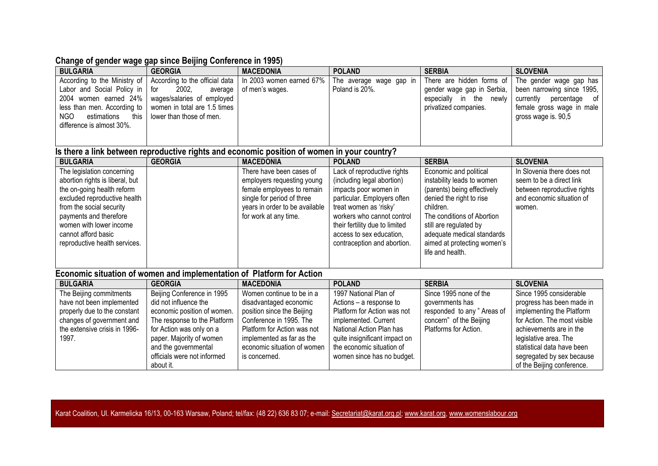# **Change of gender wage gap since Beijing Conference in 1995)**

| <b>BULGARIA</b>                                                                                                                                                                                                                                                      | <b>GEORGIA</b>                                                                                                                                      | <b>MACEDONIA</b>                                                                                                                                  | <b>POLAND</b>                                                                                                                                                                                                                                                          | <b>SERBIA</b>                                                                                                                                                                                                                                                         | <b>SLOVENIA</b>                                                                                                                            |  |
|----------------------------------------------------------------------------------------------------------------------------------------------------------------------------------------------------------------------------------------------------------------------|-----------------------------------------------------------------------------------------------------------------------------------------------------|---------------------------------------------------------------------------------------------------------------------------------------------------|------------------------------------------------------------------------------------------------------------------------------------------------------------------------------------------------------------------------------------------------------------------------|-----------------------------------------------------------------------------------------------------------------------------------------------------------------------------------------------------------------------------------------------------------------------|--------------------------------------------------------------------------------------------------------------------------------------------|--|
| According to the Ministry of<br>Labor and Social Policy in<br>2004 women earned 24%<br>less than men. According to<br>NGO<br>estimations<br>this<br>difference is almost 30%.                                                                                        | According to the official data<br>2002.<br>for<br>average<br>wages/salaries of employed<br>women in total are 1.5 times<br>lower than those of men. | In 2003 women earned 67%<br>of men's wages.                                                                                                       | The average wage gap in<br>Poland is 20%.                                                                                                                                                                                                                              | There are hidden forms of<br>gender wage gap in Serbia,<br>especially in the newly<br>privatized companies.                                                                                                                                                           | The gender wage gap has<br>been narrowing since 1995,<br>currently<br>of<br>percentage<br>female gross wage in male<br>gross wage is. 90,5 |  |
|                                                                                                                                                                                                                                                                      |                                                                                                                                                     |                                                                                                                                                   |                                                                                                                                                                                                                                                                        |                                                                                                                                                                                                                                                                       |                                                                                                                                            |  |
| Is there a link between reproductive rights and economic position of women in your country?                                                                                                                                                                          |                                                                                                                                                     |                                                                                                                                                   |                                                                                                                                                                                                                                                                        |                                                                                                                                                                                                                                                                       |                                                                                                                                            |  |
| <b>BULGARIA</b>                                                                                                                                                                                                                                                      | <b>GEORGIA</b>                                                                                                                                      | <b>MACEDONIA</b><br>There have been cases of                                                                                                      | <b>POLAND</b>                                                                                                                                                                                                                                                          | <b>SERBIA</b>                                                                                                                                                                                                                                                         | <b>SLOVENIA</b><br>In Slovenia there does not                                                                                              |  |
| The legislation concerning<br>abortion rights is liberal, but<br>the on-going health reform<br>excluded reproductive health<br>from the social security<br>payments and therefore<br>women with lower income<br>cannot afford basic<br>reproductive health services. |                                                                                                                                                     | employers requesting young<br>female employees to remain<br>single for period of three<br>years in order to be available<br>for work at any time. | Lack of reproductive rights<br>(including legal abortion)<br>impacts poor women in<br>particular. Employers often<br>treat women as 'risky'<br>workers who cannot control<br>their fertility due to limited<br>access to sex education,<br>contraception and abortion. | Economic and political<br>instability leads to women<br>(parents) being effectively<br>denied the right to rise<br>children.<br>The conditions of Abortion<br>still are regulated by<br>adequate medical standards<br>aimed at protecting women's<br>life and health. | seem to be a direct link<br>between reproductive rights<br>and economic situation of<br>women.                                             |  |
| Economic situation of women and implementation of Platform for Action                                                                                                                                                                                                |                                                                                                                                                     |                                                                                                                                                   |                                                                                                                                                                                                                                                                        |                                                                                                                                                                                                                                                                       |                                                                                                                                            |  |
| <b>BULGARIA</b>                                                                                                                                                                                                                                                      | <b>GEORGIA</b>                                                                                                                                      | <b>MACEDONIA</b>                                                                                                                                  | <b>POLAND</b>                                                                                                                                                                                                                                                          | <b>SERBIA</b>                                                                                                                                                                                                                                                         | <b>SLOVENIA</b>                                                                                                                            |  |

| <b>BULGARIA</b>               | <b>GEORGIA</b>               | MACEDONIA                   | <b>POLAND</b>                 | <b>SERBIA</b>               | <b>SLOVENIA</b>              |
|-------------------------------|------------------------------|-----------------------------|-------------------------------|-----------------------------|------------------------------|
| The Beijing commitments       | Beijing Conference in 1995   | Women continue to be in a   | 1997 National Plan of         | Since 1995 none of the      | Since 1995 considerable      |
| have not been implemented     | did not influence the        | disadvantaged economic      | Actions – a response to       | governments has             | progress has been made in    |
| properly due to the constant  | economic position of women.  | position since the Beijing  | Platform for Action was not   | responded to any " Areas of | implementing the Platform    |
| changes of government and     | The response to the Platform | Conference in 1995. The     | implemented. Current          | concern" of the Beijing     | for Action. The most visible |
| the extensive crisis in 1996- | for Action was only on a     | Platform for Action was not | National Action Plan has      | Platforms for Action.       | achievements are in the      |
| 1997.                         | paper. Majority of women     | implemented as far as the   | quite insignificant impact on |                             | legislative area. The        |
|                               | and the governmental         | economic situation of women | the economic situation of     |                             | statistical data have been   |
|                               | officials were not informed  | is concerned.               | women since has no budget.    |                             | segregated by sex because    |
|                               | about it.                    |                             |                               |                             | of the Beijing conference.   |

Karat Coalition, Ul. Karmelicka 16/13, 00-163 Warsaw, Poland; tel/fax: (48 22) 636 83 07; e-mail[: Secretariat@karat.org.pl;](mailto:Secretariat@karat.org.pl) [www.karat.org,](http://www.karat.org/) [www.womenslabour.org](http://www.womenslabour.org/)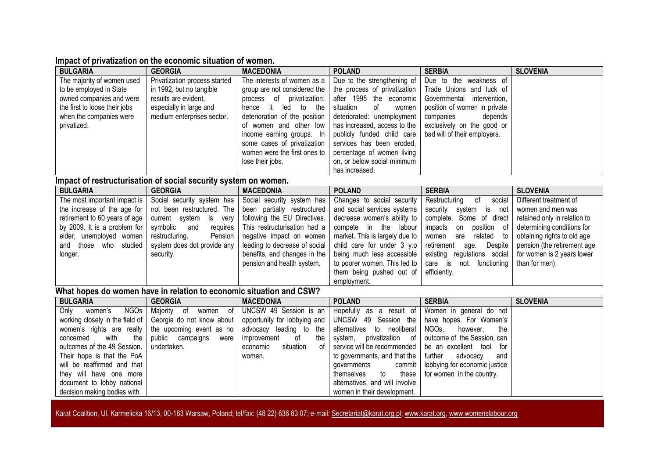### **Impact of privatization on the economic situation of women.**

document to lobby national decision making bodies with.

| <b>BULGARIA</b>                                                     | <b>GEORGIA</b>                                                  | <b>MACEDONIA</b>                | <b>POLAND</b>                    | <b>SERBIA</b>                       | <b>SLOVENIA</b>              |  |  |
|---------------------------------------------------------------------|-----------------------------------------------------------------|---------------------------------|----------------------------------|-------------------------------------|------------------------------|--|--|
| The majority of women used                                          | Privatization process started                                   | The interests of women as a     | Due to the strengthening of      | Due to the weakness of              |                              |  |  |
| to be employed in State                                             | in 1992, but no tangible                                        | group are not considered the    | the process of privatization     | Trade Unions and luck of            |                              |  |  |
| owned companies and were                                            | results are evident,                                            | process of privatization;       | after 1995 the economic          | Governmental<br>intervention,       |                              |  |  |
| the first to loose their jobs                                       | especially in large and                                         | it<br>hence<br>led<br>to<br>the | of<br>situation<br>women         | position of women in private        |                              |  |  |
| when the companies were                                             | medium enterprises sector.                                      | deterioration of the position   | deteriorated: unemployment       | companies<br>depends                |                              |  |  |
| privatized.                                                         |                                                                 | of women and other low          | has increased, access to the     | exclusively on the good or          |                              |  |  |
|                                                                     |                                                                 | income earning groups. In       | publicly funded child care       | bad will of their employers.        |                              |  |  |
|                                                                     |                                                                 | some cases of privatization     | services has been eroded,        |                                     |                              |  |  |
|                                                                     |                                                                 | women were the first ones to    | percentage of women living       |                                     |                              |  |  |
|                                                                     |                                                                 | lose their jobs.                | on, or below social minimum      |                                     |                              |  |  |
|                                                                     |                                                                 |                                 | has increased.                   |                                     |                              |  |  |
|                                                                     | Impact of restructurisation of social security system on women. |                                 |                                  |                                     |                              |  |  |
| <b>BULGARIA</b>                                                     | <b>GEORGIA</b>                                                  | <b>MACEDONIA</b>                | <b>POLAND</b>                    | <b>SERBIA</b>                       | <b>SLOVENIA</b>              |  |  |
| The most important impact is                                        | Social security system has                                      | Social security system has      | Changes to social security       | 0f<br>social<br>Restructuring       | Different treatment of       |  |  |
| the increase of the age for                                         | not been restructured. The                                      | been partially restructured     | and social services systems      | security<br>system is<br>not        | women and men was            |  |  |
| retirement to 60 years of age                                       | current system<br>is<br>very                                    | following the EU Directives.    | decrease women's ability to      | complete. Some of direct            | retained only in relation to |  |  |
| by 2009. It is a problem for                                        | symbolic<br>and<br>requires                                     | This restructurisation had a    | compete in the<br>labour         | position of<br>impacts<br>on        | determining conditions for   |  |  |
| elder, unemployed women                                             | restructuring.<br>Pension                                       | negative impact on women        | market. This is largely due to   | related<br>women<br>are<br>to       | obtaining rights to old age  |  |  |
| those who studied<br>and                                            | system does dot provide any                                     | leading to decrease of social   | child care for under 3 y.o       | retirement<br>Despite<br>age.       | pension (the retirement age  |  |  |
| longer.                                                             | security.                                                       | benefits, and changes in the    | being much less accessible       | existing regulations social         | for women is 2 years lower   |  |  |
|                                                                     |                                                                 | pension and health system.      | to poorer women. This led to     | care is<br>not functioning          | than for men).               |  |  |
|                                                                     |                                                                 |                                 | them being pushed out of         | efficiently.                        |                              |  |  |
|                                                                     |                                                                 |                                 | employment.                      |                                     |                              |  |  |
| What hopes do women have in relation to economic situation and CSW? |                                                                 |                                 |                                  |                                     |                              |  |  |
| <b>BULGARIA</b>                                                     | <b>GEORGIA</b>                                                  | <b>MACEDONIA</b>                | <b>POLAND</b>                    | <b>SERBIA</b>                       | <b>SLOVENIA</b>              |  |  |
| <b>NGOs</b><br>women's<br>Only                                      | Majority of<br>women of                                         | UNCSW 49 Session is an          | Hopefully as a result of         | Women in general do not             |                              |  |  |
| working closely in the field of                                     | Georgia do not know about                                       | opportunity for lobbying and    | UNCSW 49<br>Session the          | have hopes. For Women's             |                              |  |  |
| women's rights are really                                           | the upcoming event as no                                        | advocacy leading to the         | alternatives<br>to<br>neoliberal | NGO <sub>s</sub><br>the<br>however, |                              |  |  |
| with<br>the<br>concerned                                            | public<br>campaigns<br>were                                     | improvement<br>the<br>οf        | privatization of<br>system,      | outcome of the Session, can         |                              |  |  |
| outcomes of the 49 Session.                                         | undertaken.                                                     | situation<br>0f<br>economic     | service will be recommended      | be an excellent tool<br>for         |                              |  |  |
| Their hope is that the PoA                                          |                                                                 | women.                          | to governments, and that the     | further<br>advocacy<br>and          |                              |  |  |
| will be reaffirmed and that                                         |                                                                 |                                 | governments<br>commit            | lobbying for economic justice       |                              |  |  |
| they will have one more                                             |                                                                 |                                 | themselves<br>to<br>these        | for women in the country.           |                              |  |  |

alternatives, and will involve women in their development.

Karat Coalition, Ul. Karmelicka 16/13, 00-163 Warsaw, Poland; tel/fax: (48 22) 636 83 07; e-mail[: Secretariat@karat.org.pl;](mailto:Secretariat@karat.org.pl) [www.karat.org,](http://www.karat.org/) [www.womenslabour.org](http://www.womenslabour.org/)